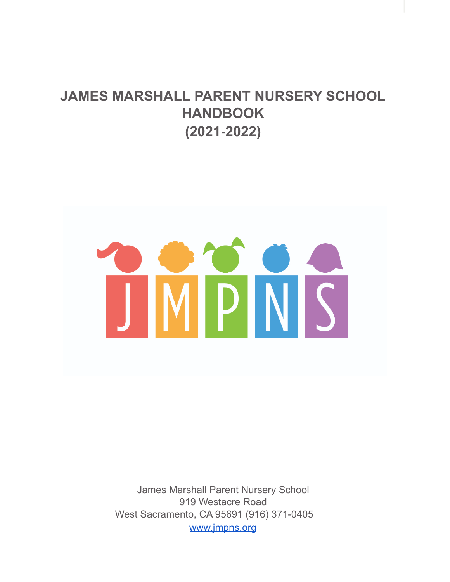# **JAMES MARSHALL PARENT NURSERY SCHOOL HANDBOOK (2021-2022)**



James Marshall Parent Nursery School 919 Westacre Road West Sacramento, CA 95691 (916) 371-0405 [www.jmpns.org](http://www.jmpns.org)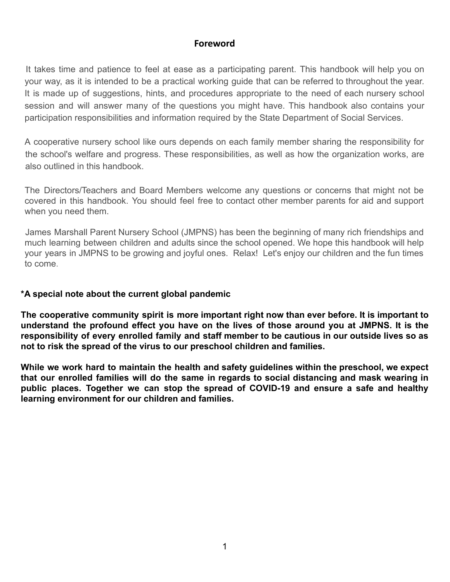### **Foreword**

It takes time and patience to feel at ease as a participating parent. This handbook will help you on your way, as it is intended to be a practical working guide that can be referred to throughout the year. It is made up of suggestions, hints, and procedures appropriate to the need of each nursery school session and will answer many of the questions you might have. This handbook also contains your participation responsibilities and information required by the State Department of Social Services.

A cooperative nursery school like ours depends on each family member sharing the responsibility for the school's welfare and progress. These responsibilities, as well as how the organization works, are also outlined in this handbook.

The Directors/Teachers and Board Members welcome any questions or concerns that might not be covered in this handbook. You should feel free to contact other member parents for aid and support when you need them.

James Marshall Parent Nursery School (JMPNS) has been the beginning of many rich friendships and much learning between children and adults since the school opened. We hope this handbook will help your years in JMPNS to be growing and joyful ones. Relax! Let's enjoy our children and the fun times to come.

### **\*A special note about the current global pandemic**

**The cooperative community spirit is more important right now than ever before. It is important to understand the profound effect you have on the lives of those around you at JMPNS. It is the responsibility of every enrolled family and staff member to be cautious in our outside lives so as not to risk the spread of the virus to our preschool children and families.**

**While we work hard to maintain the health and safety guidelines within the preschool, we expect that our enrolled families will do the same in regards to social distancing and mask wearing in public places. Together we can stop the spread of COVID-19 and ensure a safe and healthy learning environment for our children and families.**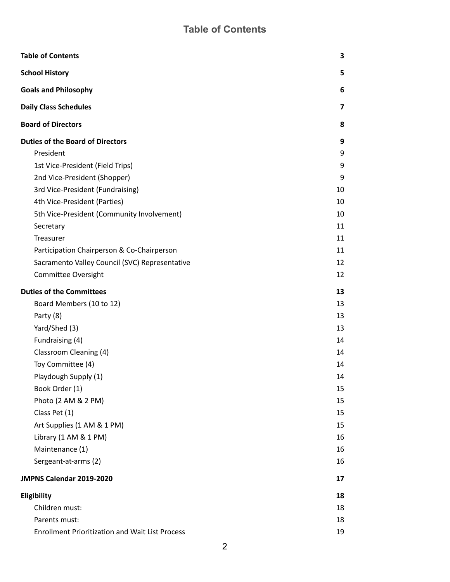# **Table of Contents**

<span id="page-2-0"></span>

| <b>Table of Contents</b>                               | 3  |
|--------------------------------------------------------|----|
| <b>School History</b>                                  | 5  |
| <b>Goals and Philosophy</b>                            | 6  |
| <b>Daily Class Schedules</b>                           | 7  |
| <b>Board of Directors</b>                              | 8  |
| <b>Duties of the Board of Directors</b>                | 9  |
| President                                              | 9  |
| 1st Vice-President (Field Trips)                       | 9  |
| 2nd Vice-President (Shopper)                           | 9  |
| 3rd Vice-President (Fundraising)                       | 10 |
| 4th Vice-President (Parties)                           | 10 |
| 5th Vice-President (Community Involvement)             | 10 |
| Secretary                                              | 11 |
| Treasurer                                              | 11 |
| Participation Chairperson & Co-Chairperson             | 11 |
| Sacramento Valley Council (SVC) Representative         | 12 |
| <b>Committee Oversight</b>                             | 12 |
| <b>Duties of the Committees</b>                        | 13 |
| Board Members (10 to 12)                               | 13 |
| Party (8)                                              | 13 |
| Yard/Shed (3)                                          | 13 |
| Fundraising (4)                                        | 14 |
| Classroom Cleaning (4)                                 | 14 |
| Toy Committee (4)                                      | 14 |
| Playdough Supply (1)                                   | 14 |
| Book Order (1)                                         | 15 |
| Photo (2 AM & 2 PM)                                    | 15 |
| Class Pet (1)                                          | 15 |
| Art Supplies (1 AM & 1 PM)                             | 15 |
| Library (1 AM & 1 PM)                                  | 16 |
| Maintenance (1)                                        | 16 |
| Sergeant-at-arms (2)                                   | 16 |
| JMPNS Calendar 2019-2020                               | 17 |
| Eligibility                                            | 18 |
| Children must:                                         | 18 |
| Parents must:                                          | 18 |
| <b>Enrollment Prioritization and Wait List Process</b> | 19 |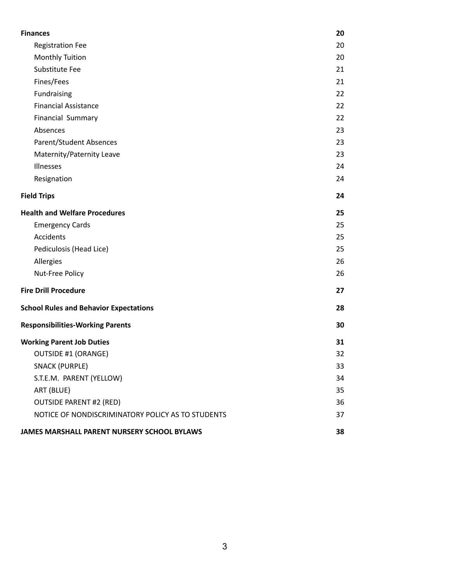| <b>Finances</b>                                   | 20 |
|---------------------------------------------------|----|
| <b>Registration Fee</b>                           | 20 |
| <b>Monthly Tuition</b>                            | 20 |
| Substitute Fee                                    | 21 |
| Fines/Fees                                        | 21 |
| Fundraising                                       | 22 |
| <b>Financial Assistance</b>                       | 22 |
| <b>Financial Summary</b>                          | 22 |
| Absences                                          | 23 |
| Parent/Student Absences                           | 23 |
| Maternity/Paternity Leave                         | 23 |
| Illnesses                                         | 24 |
| Resignation                                       | 24 |
| <b>Field Trips</b>                                | 24 |
| <b>Health and Welfare Procedures</b>              | 25 |
| <b>Emergency Cards</b>                            | 25 |
| Accidents                                         | 25 |
| Pediculosis (Head Lice)                           | 25 |
| Allergies                                         | 26 |
| Nut-Free Policy                                   | 26 |
| <b>Fire Drill Procedure</b>                       | 27 |
| <b>School Rules and Behavior Expectations</b>     | 28 |
| <b>Responsibilities-Working Parents</b>           | 30 |
| <b>Working Parent Job Duties</b>                  | 31 |
| <b>OUTSIDE #1 (ORANGE)</b>                        | 32 |
| <b>SNACK (PURPLE)</b>                             | 33 |
| S.T.E.M. PARENT (YELLOW)                          | 34 |
| ART (BLUE)                                        | 35 |
| <b>OUTSIDE PARENT #2 (RED)</b>                    | 36 |
| NOTICE OF NONDISCRIMINATORY POLICY AS TO STUDENTS | 37 |
| JAMES MARSHALL PARENT NURSERY SCHOOL BYLAWS       | 38 |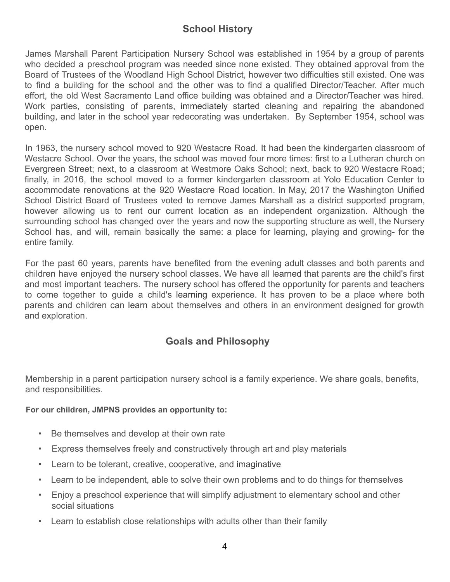# **School History**

<span id="page-4-0"></span>James Marshall Parent Participation Nursery School was established in 1954 by a group of parents who decided a preschool program was needed since none existed. They obtained approval from the Board of Trustees of the Woodland High School District, however two difficulties still existed. One was to find a building for the school and the other was to find a qualified Director/Teacher. After much effort, the old West Sacramento Land office building was obtained and a Director/Teacher was hired. Work parties, consisting of parents, immediately started cleaning and repairing the abandoned building, and later in the school year redecorating was undertaken. By September 1954, school was open.

In 1963, the nursery school moved to 920 Westacre Road. It had been the kindergarten classroom of Westacre School. Over the years, the school was moved four more times: first to a Lutheran church on Evergreen Street; next, to a classroom at Westmore Oaks School; next, back to 920 Westacre Road; finally, in 2016, the school moved to a former kindergarten classroom at Yolo Education Center to accommodate renovations at the 920 Westacre Road location. In May, 2017 the Washington Unified School District Board of Trustees voted to remove James Marshall as a district supported program, however allowing us to rent our current location as an independent organization. Although the surrounding school has changed over the years and now the supporting structure as well, the Nursery School has, and will, remain basically the same: a place for learning, playing and growing- for the entire family.

For the past 60 years, parents have benefited from the evening adult classes and both parents and children have enjoyed the nursery school classes. We have all learned that parents are the child's first and most important teachers. The nursery school has offered the opportunity for parents and teachers to come together to guide a child's learning experience. It has proven to be a place where both parents and children can learn about themselves and others in an environment designed for growth and exploration.

# **Goals and Philosophy**

<span id="page-4-1"></span>Membership in a parent participation nursery school is a family experience. We share goals, benefits, and responsibilities.

### **For our children, JMPNS provides an opportunity to:**

- Be themselves and develop at their own rate
- Express themselves freely and constructively through art and play materials
- Learn to be tolerant, creative, cooperative, and imaginative
- Learn to be independent, able to solve their own problems and to do things for themselves
- Enjoy a preschool experience that will simplify adjustment to elementary school and other social situations
- Learn to establish close relationships with adults other than their family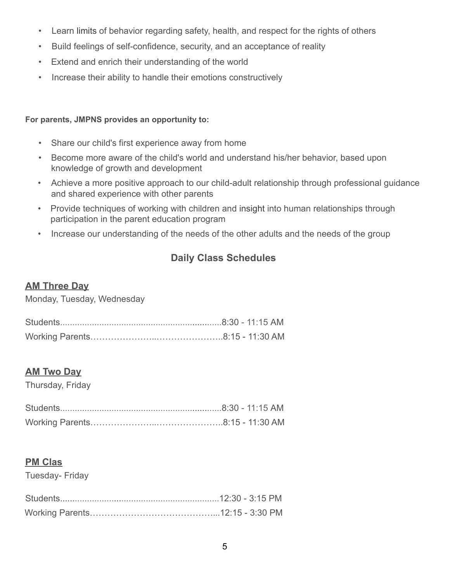- Learn limits of behavior regarding safety, health, and respect for the rights of others
- Build feelings of self-confidence, security, and an acceptance of reality
- Extend and enrich their understanding of the world
- Increase their ability to handle their emotions constructively

# **For parents, JMPNS provides an opportunity to:**

- Share our child's first experience away from home
- Become more aware of the child's world and understand his/her behavior, based upon knowledge of growth and development
- Achieve a more positive approach to our child-adult relationship through professional guidance and shared experience with other parents
- Provide techniques of working with children and insight into human relationships through participation in the parent education program
- <span id="page-5-0"></span>• Increase our understanding of the needs of the other adults and the needs of the group

# **Daily Class Schedules**

# **AM Three Day**

Monday, Tuesday, Wednesday

# **AM Two Day**

Thursday, Friday

# **PM Clas**

Tuesday- Friday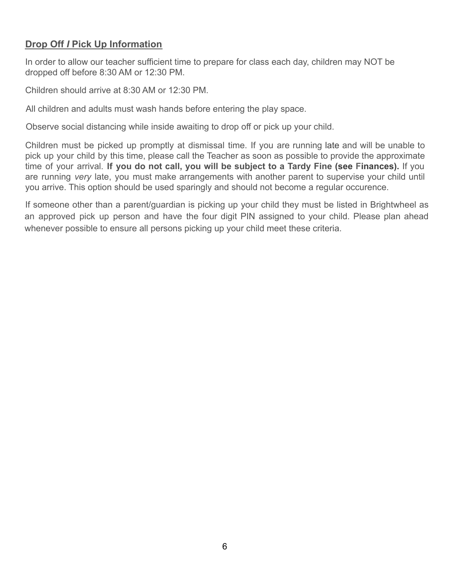# **Drop Off** *I* **Pick Up Information**

In order to allow our teacher sufficient time to prepare for class each day, children may NOT be dropped off before 8:30 AM or 12:30 PM.

Children should arrive at 8:30 AM or 12:30 PM.

All children and adults must wash hands before entering the play space.

Observe social distancing while inside awaiting to drop off or pick up your child.

Children must be picked up promptly at dismissal time. If you are running late and will be unable to pick up your child by this time, please call the Teacher as soon as possible to provide the approximate time of your arrival. **If you do not call, you will be subject to a Tardy Fine (see Finances).** If you are running *very* late, you must make arrangements with another parent to supervise your child until you arrive. This option should be used sparingly and should not become a regular occurence.

<span id="page-6-0"></span>If someone other than a parent/guardian is picking up your child they must be listed in Brightwheel as an approved pick up person and have the four digit PIN assigned to your child. Please plan ahead whenever possible to ensure all persons picking up your child meet these criteria.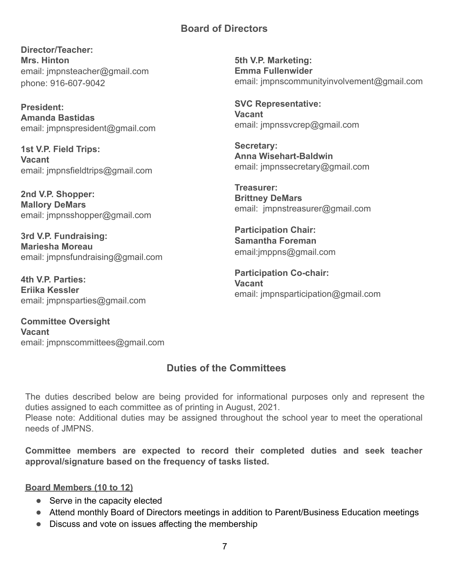# **Board of Directors**

**Director/Teacher: Mrs. Hinton** email: jmpnsteacher@gmail.com phone: 916-607-9042

**President: Amanda Bastidas** email: jmpnspresident@gmail.com

**1st V.P. Field Trips: Vacant** email: jmpnsfieldtrips@gmail.com

**2nd V.P. Shopper: Mallory DeMars** email: jmpnsshopper@gmail.com

**3rd V.P. Fundraising: Mariesha Moreau** email: jmpnsfundraising@gmail.com

**4th V.P. Parties: Eriika Kessler** email: jmpnsparties@gmail.com

<span id="page-7-0"></span>**Committee Oversight Vacant** email: jmpnscommittees@gmail.com **5th V.P. Marketing: Emma Fullenwider** email: jmpnscommunityinvolvement@gmail.com

**SVC Representative: Vacant** email: jmpnssvcrep@gmail.com

**Secretary: Anna Wisehart-Baldwin** email: jmpnssecretary@gmail.com

**Treasurer: Brittney DeMars** email: jmpnstreasurer@gmail.com

**Participation Chair: Samantha Foreman** email:jmppns@gmail.com

**Participation Co-chair: Vacant** email: jmpnsparticipation@gmail.com

# **Duties of the Committees**

The duties described below are being provided for informational purposes only and represent the duties assigned to each committee as of printing in August, 2021. Please note: Additional duties may be assigned throughout the school year to meet the operational needs of JMPNS.

**Committee members are expected to record their completed duties and seek teacher approval/signature based on the frequency of tasks listed.**

### <span id="page-7-1"></span>**Board Members (10 to 12)**

- Serve in the capacity elected
- Attend monthly Board of Directors meetings in addition to Parent/Business Education meetings
- Discuss and vote on issues affecting the membership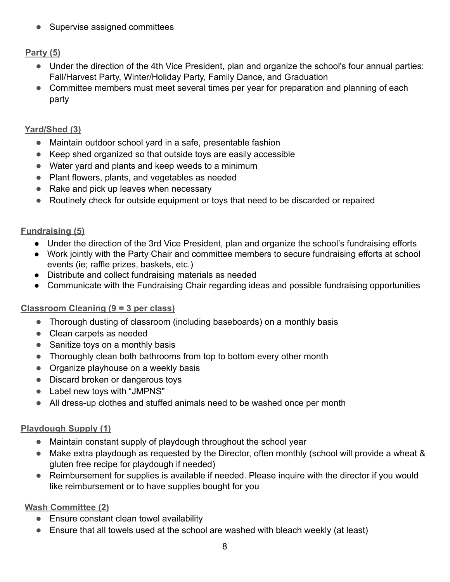● Supervise assigned committees

# <span id="page-8-0"></span>**Party (5)**

- Under the direction of the 4th Vice President, plan and organize the school's four annual parties: Fall/Harvest Party, Winter/Holiday Party, Family Dance, and Graduation
- Committee members must meet several times per year for preparation and planning of each party

# <span id="page-8-1"></span>**Yard/Shed (3)**

- Maintain outdoor school vard in a safe, presentable fashion
- Keep shed organized so that outside toys are easily accessible
- Water yard and plants and keep weeds to a minimum
- Plant flowers, plants, and vegetables as needed
- Rake and pick up leaves when necessary
- Routinely check for outside equipment or toys that need to be discarded or repaired

# <span id="page-8-2"></span>**Fundraising (5)**

- Under the direction of the 3rd Vice President, plan and organize the school's fundraising efforts
- Work jointly with the Party Chair and committee members to secure fundraising efforts at school events (ie; raffle prizes, baskets, etc.)
- Distribute and collect fundraising materials as needed
- Communicate with the Fundraising Chair regarding ideas and possible fundraising opportunities

# <span id="page-8-3"></span>**Classroom Cleaning (9 = 3 per class)**

- Thorough dusting of classroom (including baseboards) on a monthly basis
- Clean carpets as needed
- Sanitize toys on a monthly basis
- Thoroughly clean both bathrooms from top to bottom every other month
- Organize playhouse on a weekly basis
- Discard broken or dangerous toys
- Label new toys with "JMPNS"
- All dress-up clothes and stuffed animals need to be washed once per month

# <span id="page-8-4"></span>**Playdough Supply (1)**

- Maintain constant supply of playdough throughout the school year
- Make extra playdough as requested by the Director, often monthly (school will provide a wheat & gluten free recipe for playdough if needed)
- Reimbursement for supplies is available if needed. Please inquire with the director if you would like reimbursement or to have supplies bought for you

# **Wash Committee (2)**

- Ensure constant clean towel availability
- Ensure that all towels used at the school are washed with bleach weekly (at least)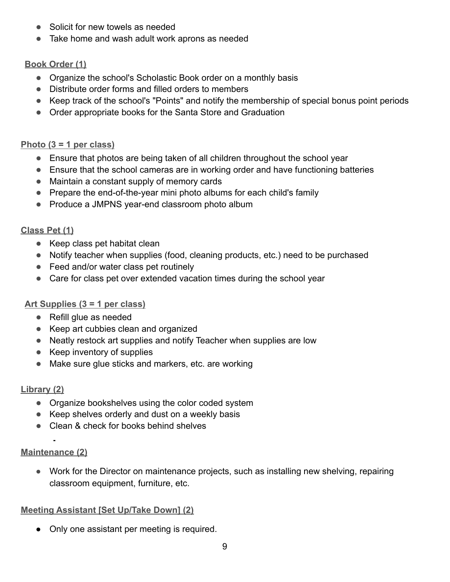- Solicit for new towels as needed
- Take home and wash adult work aprons as needed

# <span id="page-9-0"></span>**Book Order (1)**

- Organize the school's Scholastic Book order on a monthly basis
- Distribute order forms and filled orders to members
- Keep track of the school's "Points" and notify the membership of special bonus point periods
- Order appropriate books for the Santa Store and Graduation

# <span id="page-9-1"></span>**Photo (3 = 1 per class)**

- Ensure that photos are being taken of all children throughout the school year
- Ensure that the school cameras are in working order and have functioning batteries
- Maintain a constant supply of memory cards
- Prepare the end-of-the-year mini photo albums for each child's family
- Produce a JMPNS year-end classroom photo album

# <span id="page-9-2"></span>**Class Pet (1)**

- Keep class pet habitat clean
- Notify teacher when supplies (food, cleaning products, etc.) need to be purchased
- Feed and/or water class pet routinely
- Care for class pet over extended vacation times during the school year

# <span id="page-9-3"></span>**Art Supplies (3 = 1 per class)**

- Refill glue as needed
- Keep art cubbies clean and organized
- Neatly restock art supplies and notify Teacher when supplies are low
- Keep inventory of supplies
- Make sure glue sticks and markers, etc. are working

# <span id="page-9-4"></span>**Library (2)**

- Organize bookshelves using the color coded system
- Keep shelves orderly and dust on a weekly basis
- Clean & check for books behind shelves

# <span id="page-9-5"></span>**Maintenance (2)**

● Work for the Director on maintenance projects, such as installing new shelving, repairing classroom equipment, furniture, etc.

# <span id="page-9-6"></span>**Meeting Assistant [Set Up/Take Down] (2)**

• Only one assistant per meeting is required.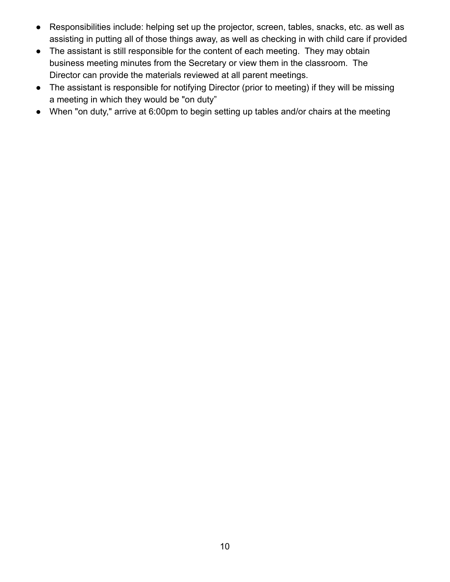- Responsibilities include: helping set up the projector, screen, tables, snacks, etc. as well as assisting in putting all of those things away, as well as checking in with child care if provided
- The assistant is still responsible for the content of each meeting. They may obtain business meeting minutes from the Secretary or view them in the classroom. The Director can provide the materials reviewed at all parent meetings.
- The assistant is responsible for notifying Director (prior to meeting) if they will be missing a meeting in which they would be "on duty"
- When "on duty," arrive at 6:00pm to begin setting up tables and/or chairs at the meeting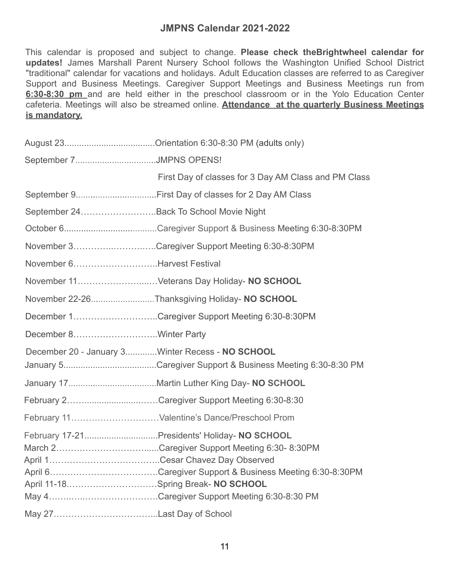# **JMPNS Calendar 2021-2022**

<span id="page-11-0"></span>This calendar is proposed and subject to change. **Please check theBrightwheel calendar for updates!** James Marshall Parent Nursery School follows the Washington Unified School District "traditional" calendar for vacations and holidays. Adult Education classes are referred to as Caregiver Support and Business Meetings. Caregiver Support Meetings and Business Meetings run from **6:30-8:30 pm** and are held either in the preschool classroom or in the Yolo Education Center cafeteria. Meetings will also be streamed online. **Attendance at the quarterly Business Meetings is mandatory.**

| September 7JMPNS OPENS!                |                                                      |
|----------------------------------------|------------------------------------------------------|
|                                        | First Day of classes for 3 Day AM Class and PM Class |
|                                        |                                                      |
| September 24Back To School Movie Night |                                                      |
|                                        |                                                      |
|                                        | November 3Caregiver Support Meeting 6:30-8:30PM      |
| November 6Harvest Festival             |                                                      |
|                                        | November 11Veterans Day Holiday- NO SCHOOL           |
|                                        | November 22-26Thanksgiving Holiday- NO SCHOOL        |
|                                        | December 1Caregiver Support Meeting 6:30-8:30PM      |
| December 8Winter Party                 |                                                      |
|                                        | December 20 - January 3Winter Recess - NO SCHOOL     |
|                                        |                                                      |
|                                        |                                                      |
|                                        | February 2Caregiver Support Meeting 6:30-8:30        |
|                                        |                                                      |
| April 11-18Spring Break- NO SCHOOL     | March 2Caregiver Support Meeting 6:30-8:30PM         |
|                                        |                                                      |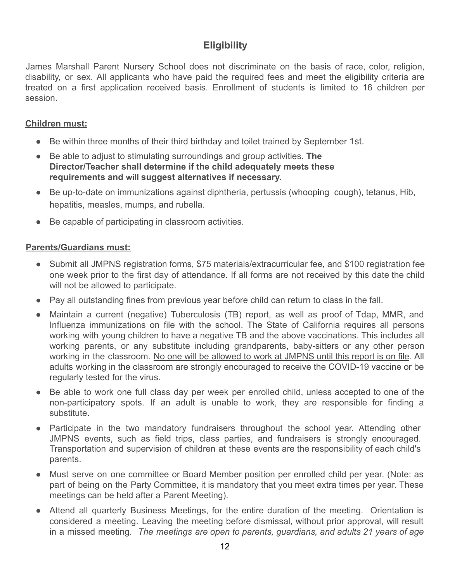# **Eligibility**

<span id="page-12-0"></span>James Marshall Parent Nursery School does not discriminate on the basis of race, color, religion, disability, or sex. All applicants who have paid the required fees and meet the eligibility criteria are treated on a first application received basis. Enrollment of students is limited to 16 children per session.

# <span id="page-12-1"></span>**Children must:**

- Be within three months of their third birthday and toilet trained by September 1st.
- Be able to adjust to stimulating surroundings and group activities. **The Director/Teacher shall determine if the child adequately meets these requirements and will suggest alternatives if necessary.**
- Be up-to-date on immunizations against diphtheria, pertussis (whooping cough), tetanus, Hib, hepatitis, measles, mumps, and rubella.
- Be capable of participating in classroom activities.

### <span id="page-12-2"></span>**Parents/Guardians must:**

- Submit all JMPNS registration forms, \$75 materials/extracurricular fee, and \$100 registration fee one week prior to the first day of attendance. If all forms are not received by this date the child will not be allowed to participate.
- Pay all outstanding fines from previous year before child can return to class in the fall.
- Maintain a current (negative) Tuberculosis (TB) report, as well as proof of Tdap, MMR, and Influenza immunizations on file with the school. The State of California requires all persons working with young children to have a negative TB and the above vaccinations. This includes all working parents, or any substitute including grandparents, baby-sitters or any other person working in the classroom. No one will be allowed to work at JMPNS until this report is on file. All adults working in the classroom are strongly encouraged to receive the COVID-19 vaccine or be regularly tested for the virus.
- Be able to work one full class day per week per enrolled child, unless accepted to one of the non-participatory spots. If an adult is unable to work, they are responsible for finding a substitute.
- Participate in the two mandatory fundraisers throughout the school year. Attending other JMPNS events, such as field trips, class parties, and fundraisers is strongly encouraged. Transportation and supervision of children at these events are the responsibility of each child's parents.
- Must serve on one committee or Board Member position per enrolled child per year. (Note: as part of being on the Party Committee, it is mandatory that you meet extra times per year. These meetings can be held after a Parent Meeting).
- Attend all quarterly Business Meetings, for the entire duration of the meeting. Orientation is considered a meeting. Leaving the meeting before dismissal, without prior approval, will result in a missed meeting. *The meetings are open to parents, guardians, and adults 21 years of age*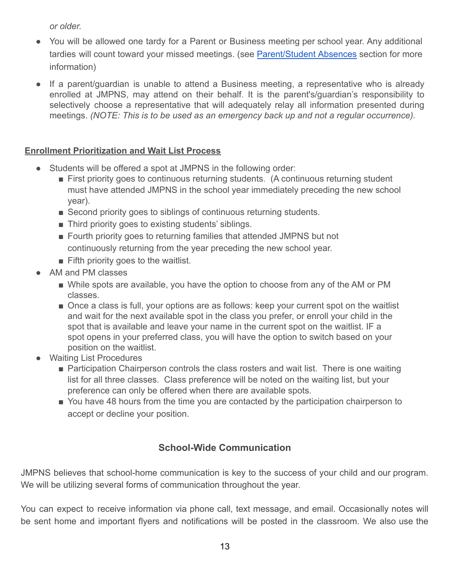*or older.*

- You will be allowed one tardy for a Parent or Business meeting per school year. Any additional tardies will count toward your missed meetings. (see [Parent/Student](#page-17-1) Absences section for more information)
- If a parent/guardian is unable to attend a Business meeting, a representative who is already enrolled at JMPNS, may attend on their behalf. It is the parent's/guardian's responsibility to selectively choose a representative that will adequately relay all information presented during meetings. *(NOTE: This is to be used as an emergency back up and not a regular occurrence).*

# <span id="page-13-0"></span>**Enrollment Prioritization and Wait List Process**

- Students will be offered a spot at JMPNS in the following order:
	- First priority goes to continuous returning students. (A continuous returning student must have attended JMPNS in the school year immediately preceding the new school year).
	- Second priority goes to siblings of continuous returning students.
	- Third priority goes to existing students' siblings.
	- Fourth priority goes to returning families that attended JMPNS but not continuously returning from the year preceding the new school year.
	- Fifth priority goes to the waitlist.
- AM and PM classes
	- While spots are available, you have the option to choose from any of the AM or PM classes.
	- Once a class is full, your options are as follows: keep your current spot on the waitlist and wait for the next available spot in the class you prefer, or enroll your child in the spot that is available and leave your name in the current spot on the waitlist. IF a spot opens in your preferred class, you will have the option to switch based on your position on the waitlist.
- **Waiting List Procedures** 
	- Participation Chairperson controls the class rosters and wait list. There is one waiting list for all three classes. Class preference will be noted on the waiting list, but your preference can only be offered when there are available spots.
	- You have 48 hours from the time you are contacted by the participation chairperson to accept or decline your position.

# **School-Wide Communication**

JMPNS believes that school-home communication is key to the success of your child and our program. We will be utilizing several forms of communication throughout the year.

You can expect to receive information via phone call, text message, and email. Occasionally notes will be sent home and important flyers and notifications will be posted in the classroom. We also use the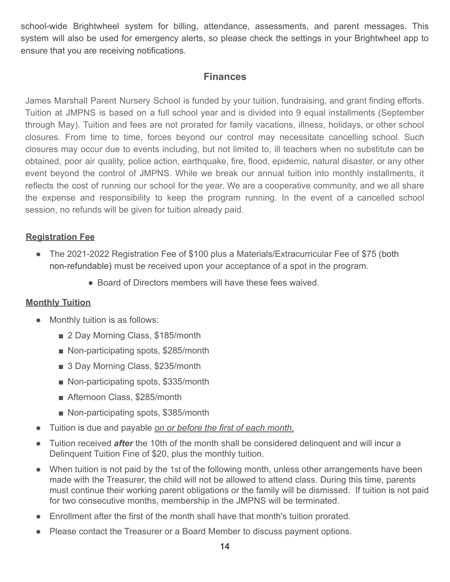school-wide Brightwheel system for billing, attendance, assessments, and parent messages. This system will also be used for emergency alerts, so please check the settings in your Brightwheel app to ensure that you are receiving notifications.

# **Finances**

<span id="page-14-0"></span>James Marshall Parent Nursery School is funded by your tuition, fundraising, and grant finding efforts. Tuition at JMPNS is based on a full school year and is divided into 9 equal installments (September through May). Tuition and fees are not prorated for family vacations, illness, holidays, or other school closures. From time to time, forces beyond our control may necessitate cancelling school. Such closures may occur due to events including, but not limited to, ill teachers when no substitute can be obtained, poor air quality, police action, earthquake, fire, flood, epidemic, natural disaster, or any other event beyond the control of JMPNS. While we break our annual tuition into monthly installments, it reflects the cost of running our school for the year. We are a cooperative community, and we all share the expense and responsibility to keep the program running. In the event of a cancelled school session, no refunds will be given for tuition already paid.

# <span id="page-14-1"></span>**Registration Fee**

- The 2021-2022 Registration Fee of \$100 plus a Materials/Extracurricular Fee of \$75 (both non-refundable) must be received upon your acceptance of a spot in the program.
	- Board of Directors members will have these fees waived.

### <span id="page-14-2"></span>**Monthly Tuition**

- Monthly tuition is as follows:
	- 2 Day Morning Class, \$185/month
	- Non-participating spots, \$285/month
	- 3 Day Morning Class, \$235/month
	- Non-participating spots, \$335/month
	- Afternoon Class, \$285/month
	- Non-participating spots, \$385/month
- Tuition is due and payable *on or before the first of each month.*
- Tuition received *after* the 10th of the month shall be considered delinquent and will incur a Delinquent Tuition Fine of \$20, plus the monthly tuition.
- When tuition is not paid by the 1st of the following month, unless other arrangements have been made with the Treasurer, the child will not be allowed to attend class. During this time, parents must continue their working parent obligations or the family will be dismissed. If tuition is not paid for two consecutive months, membership in the JMPNS will be terminated.
- Enrollment after the first of the month shall have that month's tuition prorated.
- Please contact the Treasurer or a Board Member to discuss payment options.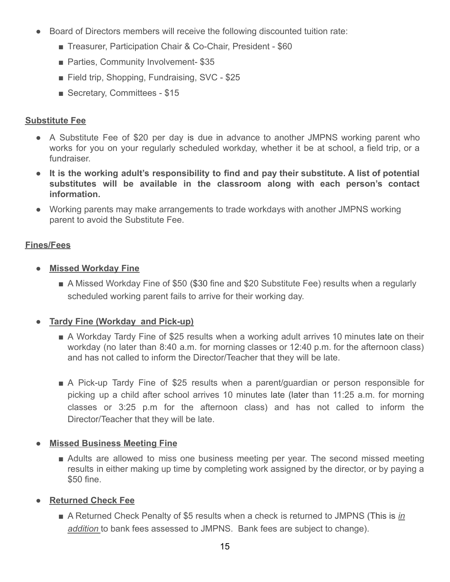- Board of Directors members will receive the following discounted tuition rate:
	- Treasurer, Participation Chair & Co-Chair, President \$60
	- Parties, Community Involvement- \$35
	- Field trip, Shopping, Fundraising, SVC \$25
	- Secretary, Committees \$15

# <span id="page-15-0"></span>**Substitute Fee**

- A Substitute Fee of \$20 per day is due in advance to another JMPNS working parent who works for you on your regularly scheduled workday, whether it be at school, a field trip, or a fundraiser.
- **● It is the working adult's responsibility to find and pay their substitute. A list of potential substitutes will be available in the classroom along with each person's contact information.**
- Working parents may make arrangements to trade workdays with another JMPNS working parent to avoid the Substitute Fee.

# <span id="page-15-1"></span>**Fines/Fees**

- **● Missed Workday Fine**
	- A Missed Workday Fine of \$50 (\$30 fine and \$20 Substitute Fee) results when a regularly scheduled working parent fails to arrive for their working day.

### **● Tardy Fine (Workday and Pick-up)**

- A Workday Tardy Fine of \$25 results when a working adult arrives 10 minutes late on their workday (no later than 8:40 a.m. for morning classes or 12:40 p.m. for the afternoon class) and has not called to inform the Director/Teacher that they will be late.
- A Pick-up Tardy Fine of \$25 results when a parent/guardian or person responsible for picking up a child after school arrives 10 minutes late (later than 11:25 a.m. for morning classes or 3:25 p.m for the afternoon class) and has not called to inform the Director/Teacher that they will be late.

# **Missed Business Meeting Fine**

■ Adults are allowed to miss one business meeting per year. The second missed meeting results in either making up time by completing work assigned by the director, or by paying a \$50 fine.

# **● Returned Check Fee**

■ A Returned Check Penalty of \$5 results when a check is returned to JMPNS (This is *in addition* to bank fees assessed to JMPNS. Bank fees are subject to change).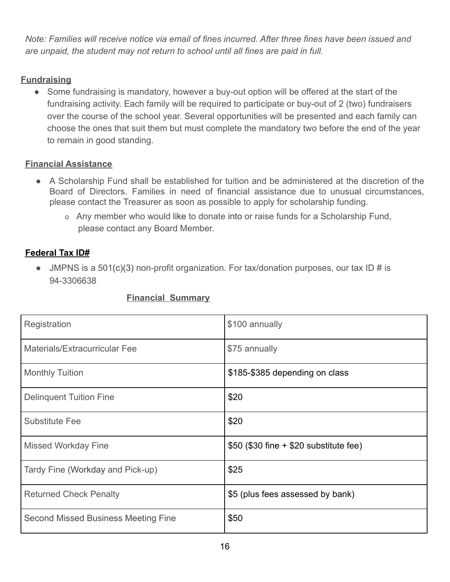*Note: Families will receive notice via email of fines incurred. After three fines have been issued and are unpaid, the student may not return to school until all fines are paid in full.*

# <span id="page-16-0"></span>**Fundraising**

• Some fundraising is mandatory, however a buy-out option will be offered at the start of the fundraising activity. Each family will be required to participate or buy-out of 2 (two) fundraisers over the course of the school year. Several opportunities will be presented and each family can choose the ones that suit them but must complete the mandatory two before the end of the year to remain in good standing.

### <span id="page-16-1"></span>**Financial Assistance**

- A Scholarship Fund shall be established for tuition and be administered at the discretion of the Board of Directors. Families in need of financial assistance due to unusual circumstances, please contact the Treasurer as soon as possible to apply for scholarship funding.
	- o Any member who would like to donate into or raise funds for a Scholarship Fund, please contact any Board Member.

# **Federal Tax ID#**

• JMPNS is a 501(c)(3) non-profit organization. For tax/donation purposes, our tax ID # is 94-3306638

<span id="page-16-2"></span>

| Registration                               | \$100 annually                          |
|--------------------------------------------|-----------------------------------------|
| Materials/Extracurricular Fee              | \$75 annually                           |
| <b>Monthly Tuition</b>                     | \$185-\$385 depending on class          |
| <b>Delinquent Tuition Fine</b>             | \$20                                    |
| <b>Substitute Fee</b>                      | \$20                                    |
| <b>Missed Workday Fine</b>                 | $$50$ (\$30 fine + \$20 substitute fee) |
| Tardy Fine (Workday and Pick-up)           | \$25                                    |
| <b>Returned Check Penalty</b>              | \$5 (plus fees assessed by bank)        |
| <b>Second Missed Business Meeting Fine</b> | \$50                                    |

### **Financial Summary**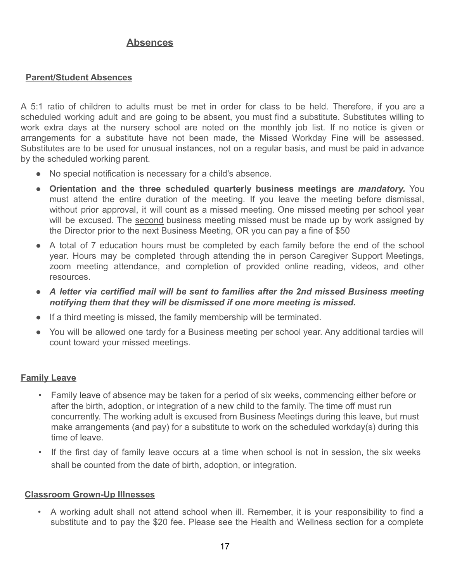# **Absences**

### <span id="page-17-1"></span><span id="page-17-0"></span>**Parent/Student Absences**

A 5:1 ratio of children to adults must be met in order for class to be held. Therefore, if you are a scheduled working adult and are going to be absent, you must find a substitute. Substitutes willing to work extra days at the nursery school are noted on the monthly job list. If no notice is given or arrangements for a substitute have not been made, the Missed Workday Fine will be assessed. Substitutes are to be used for unusual instances, not on a regular basis, and must be paid in advance by the scheduled working parent.

- No special notification is necessary for a child's absence.
- **Orientation and the three scheduled quarterly business meetings are** *mandatory.* You must attend the entire duration of the meeting. If you leave the meeting before dismissal, without prior approval, it will count as a missed meeting. One missed meeting per school year will be excused. The second business meeting missed must be made up by work assigned by the Director prior to the next Business Meeting, OR you can pay a fine of \$50
- A total of 7 education hours must be completed by each family before the end of the school year. Hours may be completed through attending the in person Caregiver Support Meetings, zoom meeting attendance, and completion of provided online reading, videos, and other resources.
- *A letter via certified mail will be sent to families after the 2nd missed Business meeting notifying them that they will be dismissed if one more meeting is missed.*
- If a third meeting is missed, the family membership will be terminated.
- You will be allowed one tardy for a Business meeting per school year. Any additional tardies will count toward your missed meetings.

### <span id="page-17-2"></span>**Family Leave**

- Family leave of absence may be taken for a period of six weeks, commencing either before or after the birth, adoption, or integration of a new child to the family. The time off must run concurrently. The working adult is excused from Business Meetings during this leave, but must make arrangements (and pay) for a substitute to work on the scheduled workday(s) during this time of leave.
- If the first day of family leave occurs at a time when school is not in session, the six weeks shall be counted from the date of birth, adoption, or integration.

### <span id="page-17-3"></span>**Classroom Grown-Up Illnesses**

• A working adult shall not attend school when ill. Remember, it is your responsibility to find a substitute and to pay the \$20 fee. Please see the Health and Wellness section for a complete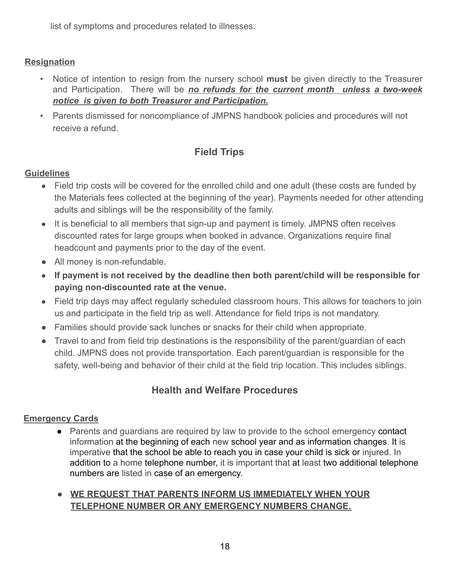list of symptoms and procedures related to illnesses.

# <span id="page-18-0"></span>**Resignation**

- Notice of intention to resign from the nursery school **must** be given directly to the Treasurer and Participation. There will be *no refunds for the current month unless a two-week notice is given to both Treasurer and Participation.*
- Parents dismissed for noncompliance of JMPNS handbook policies and procedures will not receive a refund.

# **Field Trips**

# <span id="page-18-1"></span>**Guidelines**

- Field trip costs will be covered for the enrolled child and one adult (these costs are funded by the Materials fees collected at the beginning of the year). Payments needed for other attending adults and siblings will be the responsibility of the family.
- It is beneficial to all members that sign-up and payment is timely. JMPNS often receives discounted rates for large groups when booked in advance. Organizations require final headcount and payments prior to the day of the event.
- All money is non-refundable.
- **If payment is not received by the deadline then both parent/child will be responsible for paying non-discounted rate at the venue.**
- Field trip days may affect regularly scheduled classroom hours. This allows for teachers to join us and participate in the field trip as well. Attendance for field trips is not mandatory.
- Families should provide sack lunches or snacks for their child when appropriate.
- **●** Travel to and from field trip destinations is the responsibility of the parent/guardian of each child. JMPNS does not provide transportation. Each parent/guardian is responsible for the safety, well-being and behavior of their child at the field trip location. This includes siblings.

# **Health and Welfare Procedures**

# <span id="page-18-3"></span><span id="page-18-2"></span>**Emergency Cards**

- Parents and guardians are required by law to provide to the school emergency contact information at the beginning of each new school year and as information changes. It is imperative that the school be able to reach you in case your child is sick or injured. In addition to a home telephone number, it is important that at least two additional telephone numbers are listed in case of an emergency.
- **● WE REQUEST THAT PARENTS INFORM US IMMEDIATELY WHEN YOUR TELEPHONE NUMBER OR ANY EMERGENCY NUMBERS CHANGE.**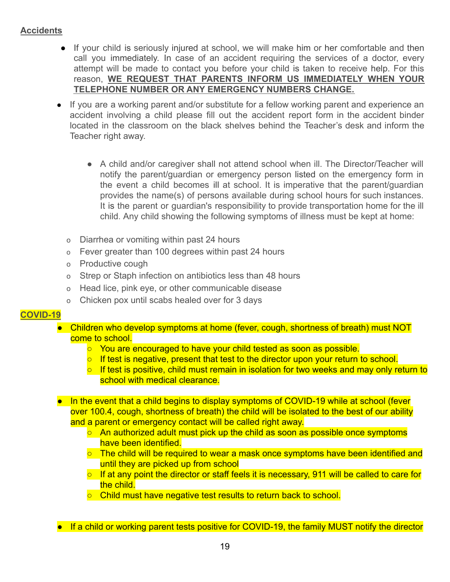### <span id="page-19-0"></span>**Accidents**

- If your child is seriously injured at school, we will make him or her comfortable and then call you immediately. In case of an accident requiring the services of a doctor, every attempt will be made to contact you before your child is taken to receive help. For this reason, **WE REQUEST THAT PARENTS INFORM US IMMEDIATELY WHEN YOUR TELEPHONE NUMBER OR ANY EMERGENCY NUMBERS CHANGE.**
- If you are a working parent and/or substitute for a fellow working parent and experience an accident involving a child please fill out the accident report form in the accident binder located in the classroom on the black shelves behind the Teacher's desk and inform the Teacher right away.
	- A child and/or caregiver shall not attend school when ill. The Director/Teacher will notify the parent/guardian or emergency person listed on the emergency form in the event a child becomes ill at school. It is imperative that the parent/guardian provides the name(s) of persons available during school hours for such instances. It is the parent or guardian's responsibility to provide transportation home for the ill child. Any child showing the following symptoms of illness must be kept at home:
	- o Diarrhea or vomiting within past 24 hours
	- o Fever greater than 100 degrees within past 24 hours
	- o Productive cough
	- o Strep or Staph infection on antibiotics less than 48 hours
	- o Head lice, pink eye, or other communicable disease
	- o Chicken pox until scabs healed over for 3 days

### <span id="page-19-1"></span>**COVID-19**

- Children who develop symptoms at home (fever, cough, shortness of breath) must NOT come to school.
	- You are encouraged to have your child tested as soon as possible.
	- If test is negative, present that test to the director upon your return to school.
	- If test is positive, child must remain in isolation for two weeks and may only return to school with medical clearance.
- In the event that a child begins to display symptoms of COVID-19 while at school (fever over 100.4, cough, shortness of breath) the child will be isolated to the best of our ability and a parent or emergency contact will be called right away.
	- An authorized adult must pick up the child as soon as possible once symptoms have been identified.
	- The child will be required to wear a mask once symptoms have been identified and until they are picked up from school
	- If at any point the director or staff feels it is necessary, 911 will be called to care for the child.
	- Child must have negative test results to return back to school.

■ If a child or working parent tests positive for COVID-19, the family MUST notify the director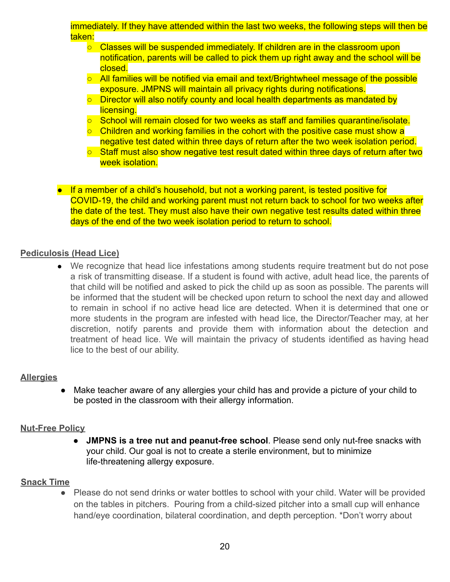### immediately. If they have attended within the last two weeks, the following steps will then be taken:

- Classes will be suspended immediately. If children are in the classroom upon notification, parents will be called to pick them up right away and the school will be closed.
- All families will be notified via email and text/Brightwheel message of the possible exposure. JMPNS will maintain all privacy rights during notifications.
- Director will also notify county and local health departments as mandated by licensing.
- School will remain closed for two weeks as staff and families quarantine/isolate.
- $\circ$  Children and working families in the cohort with the positive case must show a negative test dated within three days of return after the two week isolation period.
- Staff must also show negative test result dated within three days of return after two week isolation.
- If a member of a child's household, but not a working parent, is tested positive for COVID-19, the child and working parent must not return back to school for two weeks after the date of the test. They must also have their own negative test results dated within three days of the end of the two week isolation period to return to school.

### **Pediculosis (Head Lice)**

● We recognize that head lice infestations among students require treatment but do not pose a risk of transmitting disease. If a student is found with active, adult head lice, the parents of that child will be notified and asked to pick the child up as soon as possible. The parents will be informed that the student will be checked upon return to school the next day and allowed to remain in school if no active head lice are detected. When it is determined that one or more students in the program are infested with head lice, the Director/Teacher may, at her discretion, notify parents and provide them with information about the detection and treatment of head lice. We will maintain the privacy of students identified as having head lice to the best of our ability.

### <span id="page-20-0"></span>**Allergies**

● Make teacher aware of any allergies your child has and provide a picture of your child to be posted in the classroom with their allergy information.

### <span id="page-20-1"></span>**Nut-Free Policy**

**JMPNS is a tree nut and peanut-free school**. Please send only nut-free snacks with your child. Our goal is not to create a sterile environment, but to minimize life-threatening allergy exposure.

# **Snack Time**

● Please do not send drinks or water bottles to school with your child. Water will be provided on the tables in pitchers. Pouring from a child-sized pitcher into a small cup will enhance hand/eye coordination, bilateral coordination, and depth perception. \*Don't worry about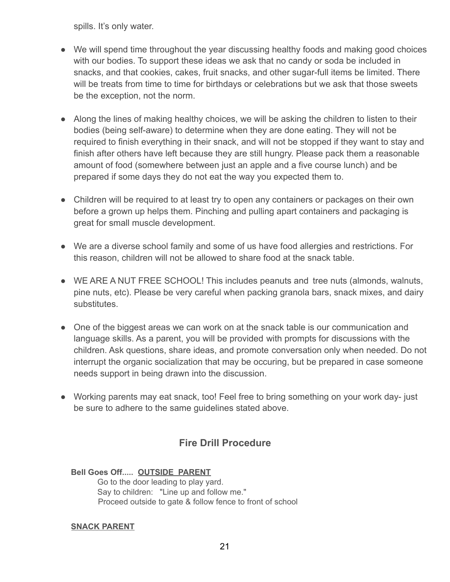spills. It's only water.

- We will spend time throughout the year discussing healthy foods and making good choices with our bodies. To support these ideas we ask that no candy or soda be included in snacks, and that cookies, cakes, fruit snacks, and other sugar-full items be limited. There will be treats from time to time for birthdays or celebrations but we ask that those sweets be the exception, not the norm.
- Along the lines of making healthy choices, we will be asking the children to listen to their bodies (being self-aware) to determine when they are done eating. They will not be required to finish everything in their snack, and will not be stopped if they want to stay and finish after others have left because they are still hungry. Please pack them a reasonable amount of food (somewhere between just an apple and a five course lunch) and be prepared if some days they do not eat the way you expected them to.
- Children will be required to at least try to open any containers or packages on their own before a grown up helps them. Pinching and pulling apart containers and packaging is great for small muscle development.
- We are a diverse school family and some of us have food allergies and restrictions. For this reason, children will not be allowed to share food at the snack table.
- WE ARE A NUT FREE SCHOOL! This includes peanuts and tree nuts (almonds, walnuts, pine nuts, etc). Please be very careful when packing granola bars, snack mixes, and dairy substitutes.
- One of the biggest areas we can work on at the snack table is our communication and language skills. As a parent, you will be provided with prompts for discussions with the children. Ask questions, share ideas, and promote conversation only when needed. Do not interrupt the organic socialization that may be occuring, but be prepared in case someone needs support in being drawn into the discussion.
- Working parents may eat snack, too! Feel free to bring something on your work day- just be sure to adhere to the same guidelines stated above.

# **Fire Drill Procedure**

<span id="page-21-0"></span>**Bell Goes Off..... OUTSIDE PARENT** Go to the door leading to play yard. Say to children: "Line up and follow me." Proceed outside to gate & follow fence to front of school

### **SNACK PARENT**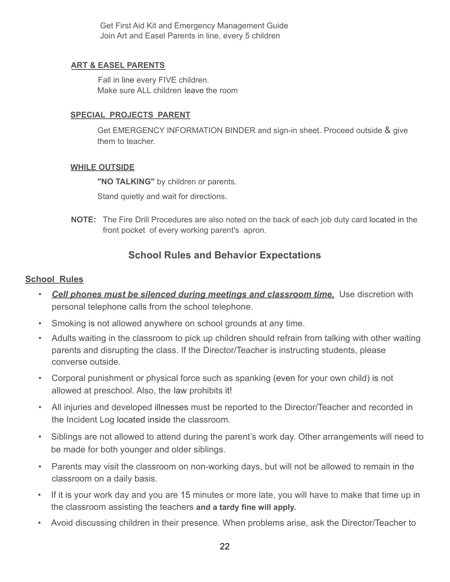Get First Aid Kit and Emergency Management Guide Join Art and Easel Parents in line, every 5 children

### **ART & EASEL PARENTS**

Fall in line every FIVE children. Make sure ALL children leave the room

### **SPECIAL PROJECTS PARENT**

Get EMERGENCY INFORMATION BINDER and sign-in sheet. Proceed outside & give them to teacher.

### **WHILE OUTSIDE**

**"NO TALKING"** by children or parents.

Stand quietly and wait for directions.

**NOTE:** The Fire Drill Procedures are also noted on the back of each job duty card located in the front pocket of every working parent's apron.

# **School Rules and Behavior Expectations**

### <span id="page-22-0"></span>**School Rules**

- *Cell phones must be silenced during meetings and classroom time.* Use discretion with personal telephone calls from the school telephone.
- Smoking is not allowed anywhere on school grounds at any time.
- Adults waiting in the classroom to pick up children should refrain from talking with other waiting parents and disrupting the class. If the Director/Teacher is instructing students, please converse outside.
- Corporal punishment or physical force such as spanking (even for your own child) is not allowed at preschool. Also, the law prohibits it!
- All injuries and developed illnesses must be reported to the Director/Teacher and recorded in the Incident Log located inside the classroom.
- Siblings are not allowed to attend during the parent's work day. Other arrangements will need to be made for both younger and older siblings.
- Parents may visit the classroom on non-working days, but will not be allowed to remain in the classroom on a daily basis.
- If it is your work day and you are 15 minutes or more late, you will have to make that time up in the classroom assisting the teachers **and a tardy fine will apply.**
- Avoid discussing children in their presence. When problems arise, ask the Director/Teacher to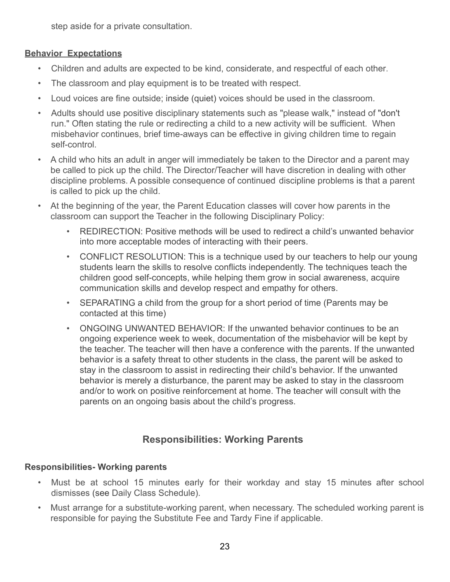step aside for a private consultation.

# **Behavior Expectations**

- Children and adults are expected to be kind, considerate, and respectful of each other.
- The classroom and play equipment is to be treated with respect.
- Loud voices are fine outside; inside (quiet) voices should be used in the classroom.
- Adults should use positive disciplinary statements such as "please walk," instead of "don't run." Often stating the rule or redirecting a child to a new activity will be sufficient. When misbehavior continues, brief time-aways can be effective in giving children time to regain self-control.
- A child who hits an adult in anger will immediately be taken to the Director and a parent may be called to pick up the child. The Director/Teacher will have discretion in dealing with other discipline problems. A possible consequence of continued discipline problems is that a parent is called to pick up the child.
- At the beginning of the year, the Parent Education classes will cover how parents in the classroom can support the Teacher in the following Disciplinary Policy:
	- REDIRECTION: Positive methods will be used to redirect a child's unwanted behavior into more acceptable modes of interacting with their peers.
	- CONFLICT RESOLUTION: This is a technique used by our teachers to help our young students learn the skills to resolve conflicts independently. The techniques teach the children good self-concepts, while helping them grow in social awareness, acquire communication skills and develop respect and empathy for others.
	- SEPARATING a child from the group for a short period of time (Parents may be contacted at this time)
	- ONGOING UNWANTED BEHAVIOR: If the unwanted behavior continues to be an ongoing experience week to week, documentation of the misbehavior will be kept by the teacher. The teacher will then have a conference with the parents. If the unwanted behavior is a safety threat to other students in the class, the parent will be asked to stay in the classroom to assist in redirecting their child's behavior. If the unwanted behavior is merely a disturbance, the parent may be asked to stay in the classroom and/or to work on positive reinforcement at home. The teacher will consult with the parents on an ongoing basis about the child's progress.

# **Responsibilities: Working Parents**

# <span id="page-23-0"></span>**Responsibilities- Working parents**

- Must be at school 15 minutes early for their workday and stay 15 minutes after school dismisses (see Daily Class Schedule).
- Must arrange for a substitute-working parent, when necessary. The scheduled working parent is responsible for paying the Substitute Fee and Tardy Fine if applicable.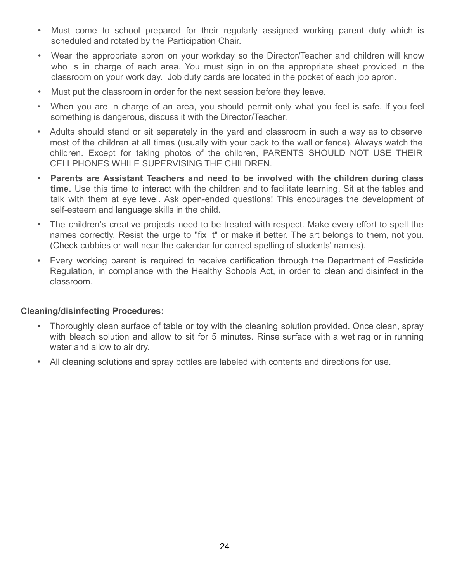- Must come to school prepared for their regularly assigned working parent duty which is scheduled and rotated by the Participation Chair.
- Wear the appropriate apron on your workday so the Director/Teacher and children will know who is in charge of each area. You must sign in on the appropriate sheet provided in the classroom on your work day. Job duty cards are located in the pocket of each job apron.
- Must put the classroom in order for the next session before they leave.
- When you are in charge of an area, you should permit only what you feel is safe. If you feel something is dangerous, discuss it with the Director/Teacher.
- Adults should stand or sit separately in the yard and classroom in such a way as to observe most of the children at all times (usually with your back to the wall or fence). Always watch the children. Except for taking photos of the children, PARENTS SHOULD NOT USE THEIR CELLPHONES WHILE SUPERVISING THE CHILDREN.
- **Parents are Assistant Teachers and need to be involved with the children during class time.** Use this time to interact with the children and to facilitate learning. Sit at the tables and talk with them at eye level. Ask open-ended questions! This encourages the development of self-esteem and language skills in the child.
- The children's creative projects need to be treated with respect. Make every effort to spell the names correctly. Resist the urge to "fix it" or make it better. The art belongs to them, not you. (Check cubbies or wall near the calendar for correct spelling of students' names).
- Every working parent is required to receive certification through the Department of Pesticide Regulation, in compliance with the Healthy Schools Act, in order to clean and disinfect in the classroom.

### **Cleaning/disinfecting Procedures:**

- Thoroughly clean surface of table or toy with the cleaning solution provided. Once clean, spray with bleach solution and allow to sit for 5 minutes. Rinse surface with a wet rag or in running water and allow to air dry.
- All cleaning solutions and spray bottles are labeled with contents and directions for use.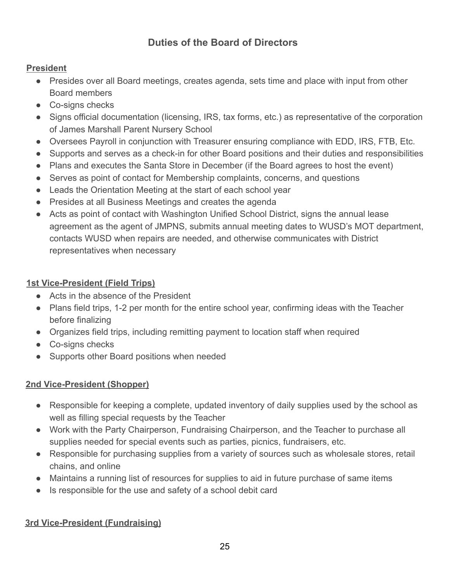# **Duties of the Board of Directors**

# <span id="page-25-1"></span><span id="page-25-0"></span>**President**

- Presides over all Board meetings, creates agenda, sets time and place with input from other Board members
- Co-signs checks
- Signs official documentation (licensing, IRS, tax forms, etc.) as representative of the corporation of James Marshall Parent Nursery School
- Oversees Payroll in conjunction with Treasurer ensuring compliance with EDD, IRS, FTB, Etc.
- Supports and serves as a check-in for other Board positions and their duties and responsibilities
- Plans and executes the Santa Store in December (if the Board agrees to host the event)
- Serves as point of contact for Membership complaints, concerns, and questions
- Leads the Orientation Meeting at the start of each school year
- Presides at all Business Meetings and creates the agenda
- Acts as point of contact with Washington Unified School District, signs the annual lease agreement as the agent of JMPNS, submits annual meeting dates to WUSD's MOT department, contacts WUSD when repairs are needed, and otherwise communicates with District representatives when necessary

# <span id="page-25-2"></span>**1st Vice-President (Field Trips)**

- Acts in the absence of the President
- Plans field trips, 1-2 per month for the entire school year, confirming ideas with the Teacher before finalizing
- Organizes field trips, including remitting payment to location staff when required
- Co-signs checks
- Supports other Board positions when needed

# <span id="page-25-3"></span>**2nd Vice-President (Shopper)**

- Responsible for keeping a complete, updated inventory of daily supplies used by the school as well as filling special requests by the Teacher
- Work with the Party Chairperson, Fundraising Chairperson, and the Teacher to purchase all supplies needed for special events such as parties, picnics, fundraisers, etc.
- Responsible for purchasing supplies from a variety of sources such as wholesale stores, retail chains, and online
- Maintains a running list of resources for supplies to aid in future purchase of same items
- Is responsible for the use and safety of a school debit card

# <span id="page-25-4"></span>**3rd Vice-President (Fundraising)**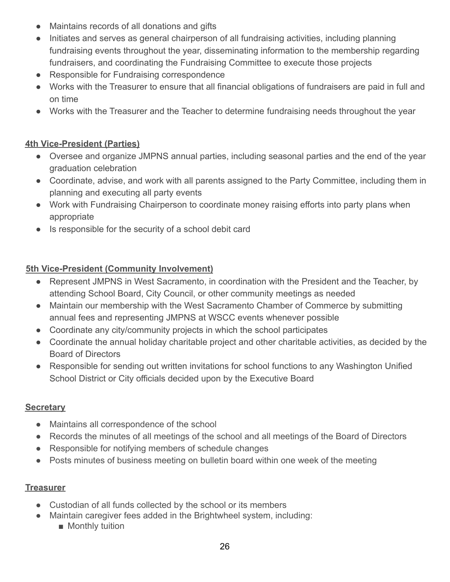- Maintains records of all donations and gifts
- Initiates and serves as general chairperson of all fundraising activities, including planning fundraising events throughout the year, disseminating information to the membership regarding fundraisers, and coordinating the Fundraising Committee to execute those projects
- Responsible for Fundraising correspondence
- Works with the Treasurer to ensure that all financial obligations of fundraisers are paid in full and on time
- Works with the Treasurer and the Teacher to determine fundraising needs throughout the year

# <span id="page-26-0"></span>**4th Vice-President (Parties)**

- Oversee and organize JMPNS annual parties, including seasonal parties and the end of the year graduation celebration
- Coordinate, advise, and work with all parents assigned to the Party Committee, including them in planning and executing all party events
- Work with Fundraising Chairperson to coordinate money raising efforts into party plans when appropriate
- Is responsible for the security of a school debit card

# <span id="page-26-1"></span>**5th Vice-President (Community Involvement)**

- Represent JMPNS in West Sacramento, in coordination with the President and the Teacher, by attending School Board, City Council, or other community meetings as needed
- Maintain our membership with the West Sacramento Chamber of Commerce by submitting annual fees and representing JMPNS at WSCC events whenever possible
- Coordinate any city/community projects in which the school participates
- Coordinate the annual holiday charitable project and other charitable activities, as decided by the Board of Directors
- Responsible for sending out written invitations for school functions to any Washington Unified School District or City officials decided upon by the Executive Board

### <span id="page-26-2"></span>**Secretary**

- Maintains all correspondence of the school
- Records the minutes of all meetings of the school and all meetings of the Board of Directors
- Responsible for notifying members of schedule changes
- Posts minutes of business meeting on bulletin board within one week of the meeting

# <span id="page-26-3"></span>**Treasurer**

- Custodian of all funds collected by the school or its members
- Maintain caregiver fees added in the Brightwheel system, including:
	- Monthly tuition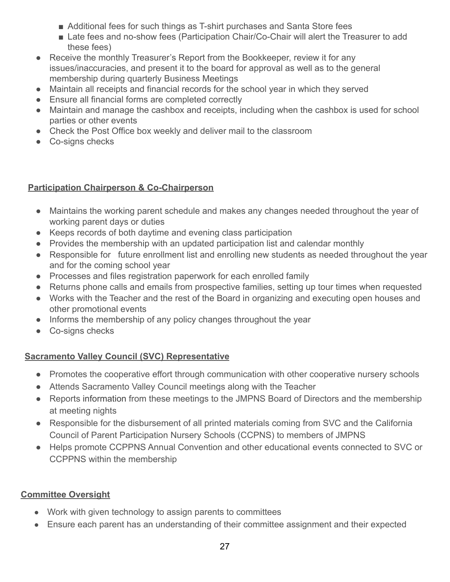- Additional fees for such things as T-shirt purchases and Santa Store fees
- Late fees and no-show fees (Participation Chair/Co-Chair will alert the Treasurer to add these fees)
- Receive the monthly Treasurer's Report from the Bookkeeper, review it for any issues/inaccuracies, and present it to the board for approval as well as to the general membership during quarterly Business Meetings
- Maintain all receipts and financial records for the school year in which they served
- Ensure all financial forms are completed correctly
- Maintain and manage the cashbox and receipts, including when the cashbox is used for school parties or other events
- Check the Post Office box weekly and deliver mail to the classroom
- Co-signs checks

# <span id="page-27-0"></span>**Participation Chairperson & Co-Chairperson**

- Maintains the working parent schedule and makes any changes needed throughout the year of working parent days or duties
- Keeps records of both daytime and evening class participation
- Provides the membership with an updated participation list and calendar monthly
- Responsible for future enrollment list and enrolling new students as needed throughout the year and for the coming school year
- Processes and files registration paperwork for each enrolled family
- Returns phone calls and emails from prospective families, setting up tour times when requested
- Works with the Teacher and the rest of the Board in organizing and executing open houses and other promotional events
- Informs the membership of any policy changes throughout the year
- Co-signs checks

# <span id="page-27-1"></span>**Sacramento Valley Council (SVC) Representative**

- Promotes the cooperative effort through communication with other cooperative nursery schools
- Attends Sacramento Valley Council meetings along with the Teacher
- Reports information from these meetings to the JMPNS Board of Directors and the membership at meeting nights
- Responsible for the disbursement of all printed materials coming from SVC and the California Council of Parent Participation Nursery Schools (CCPNS) to members of JMPNS
- Helps promote CCPPNS Annual Convention and other educational events connected to SVC or CCPPNS within the membership

# <span id="page-27-2"></span>**Committee Oversight**

- Work with given technology to assign parents to committees
- Ensure each parent has an understanding of their committee assignment and their expected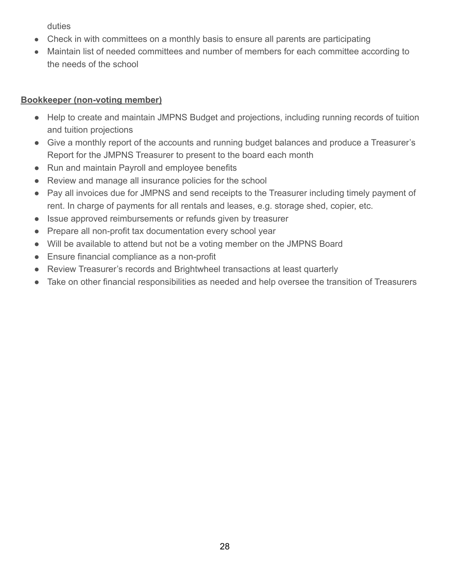duties

- Check in with committees on a monthly basis to ensure all parents are participating
- Maintain list of needed committees and number of members for each committee according to the needs of the school

# **Bookkeeper (non-voting member)**

- Help to create and maintain JMPNS Budget and projections, including running records of tuition and tuition projections
- Give a monthly report of the accounts and running budget balances and produce a Treasurer's Report for the JMPNS Treasurer to present to the board each month
- Run and maintain Payroll and employee benefits
- Review and manage all insurance policies for the school
- Pay all invoices due for JMPNS and send receipts to the Treasurer including timely payment of rent. In charge of payments for all rentals and leases, e.g. storage shed, copier, etc.
- Issue approved reimbursements or refunds given by treasurer
- Prepare all non-profit tax documentation every school year
- Will be available to attend but not be a voting member on the JMPNS Board
- Ensure financial compliance as a non-profit
- Review Treasurer's records and Brightwheel transactions at least quarterly
- Take on other financial responsibilities as needed and help oversee the transition of Treasurers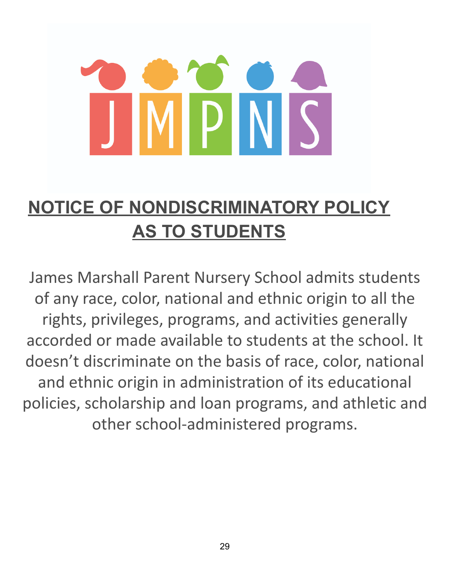# $\mathsf{P}\mathsf{I}$

# <span id="page-29-0"></span>**NOTICE OF NONDISCRIMINATORY POLICY AS TO STUDENTS**

James Marshall Parent Nursery School admits students of any race, color, national and ethnic origin to all the rights, privileges, programs, and activities generally accorded or made available to students at the school. It doesn't discriminate on the basis of race, color, national and ethnic origin in administration of its educational policies, scholarship and loan programs, and athletic and other school-administered programs.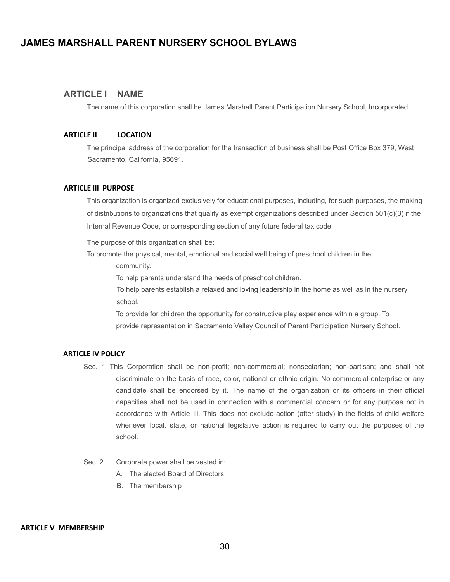### <span id="page-30-0"></span>**JAMES MARSHALL PARENT NURSERY SCHOOL BYLAWS**

### **ARTICLE I NAME**

The name of this corporation shall be James Marshall Parent Participation Nursery School, Incorporated.

### **ARTICLE II LOCATION**

The principal address of the corporation for the transaction of business shall be Post Office Box 379, West Sacramento, California, 95691.

### **ARTICLE Ill PURPOSE**

This organization is organized exclusively for educational purposes, including, for such purposes, the making of distributions to organizations that qualify as exempt organizations described under Section 501(c)(3) if the Internal Revenue Code, or corresponding section of any future federal tax code.

The purpose of this organization shall be:

To promote the physical, mental, emotional and social well being of preschool children in the

community.

To help parents understand the needs of preschool children.

To help parents establish a relaxed and loving leadership in the home as well as in the nursery school.

To provide for children the opportunity for constructive play experience within a group. To provide representation in Sacramento Valley Council of Parent Participation Nursery School.

### **ARTICLE IV POLICY**

- Sec. 1 This Corporation shall be non-profit; non-commercial; nonsectarian; non-partisan; and shall not discriminate on the basis of race, color, national or ethnic origin. No commercial enterprise or any candidate shall be endorsed by it. The name of the organization or its officers in their official capacities shall not be used in connection with a commercial concern or for any purpose not in accordance with Article Ill. This does not exclude action (after study) in the fields of child welfare whenever local, state, or national legislative action is required to carry out the purposes of the school.
- Sec. 2 Corporate power shall be vested in:
	- A. The elected Board of Directors
	- B. The membership

### **ARTICLE V MEMBERSHIP**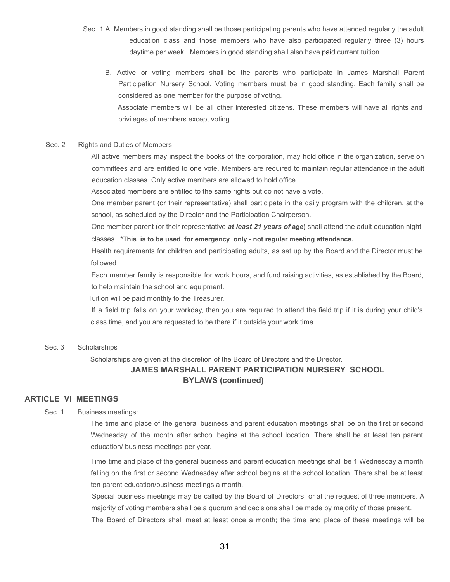- Sec. 1 A. Members in good standing shall be those participating parents who have attended regularly the adult education class and those members who have also participated regularly three (3) hours daytime per week. Members in good standing shall also have paid current tuition.
	- B. Active or voting members shall be the parents who participate in James Marshall Parent Participation Nursery School. Voting members must be in good standing. Each family shall be considered as one member for the purpose of voting.

Associate members will be all other interested citizens. These members will have all rights and privileges of members except voting.

### Sec. 2 Rights and Duties of Members

All active members may inspect the books of the corporation, may hold office in the organization, serve on committees and are entitled to one vote. Members are required to maintain regular attendance in the adult education classes. Only active members are allowed to hold office.

Associated members are entitled to the same rights but do not have a vote.

One member parent (or their representative) shall participate in the daily program with the children, at the school, as scheduled by the Director and the Participation Chairperson.

One member parent (or their representative *at least 21 years of* **age)** shall attend the adult education night classes. **\*This is to be used for emergency only - not regular meeting attendance.**

Health requirements for children and participating adults, as set up by the Board and the Director must be followed.

Each member family is responsible for work hours, and fund raising activities, as established by the Board, to help maintain the school and equipment.

Tuition will be paid monthly to the Treasurer.

If a field trip falls on your workday, then you are required to attend the field trip if it is during your child's class time, and you are requested to be there if it outside your work time.

### Sec. 3 Scholarships

Scholarships are given at the discretion of the Board of Directors and the Director.

### **JAMES MARSHALL PARENT PARTICIPATION NURSERY SCHOOL BYLAWS (continued)**

### **ARTICLE VI MEETINGS**

Sec. 1 Business meetings:

The time and place of the general business and parent education meetings shall be on the first or second Wednesday of the month after school begins at the school location. There shall be at least ten parent education/ business meetings per year.

Time time and place of the general business and parent education meetings shall be 1 Wednesday a month falling on the first or second Wednesday after school begins at the school location. There shall be at least ten parent education/business meetings a month.

Special business meetings may be called by the Board of Directors, or at the request of three members. A majority of voting members shall be a quorum and decisions shall be made by majority of those present.

The Board of Directors shall meet at least once a month; the time and place of these meetings will be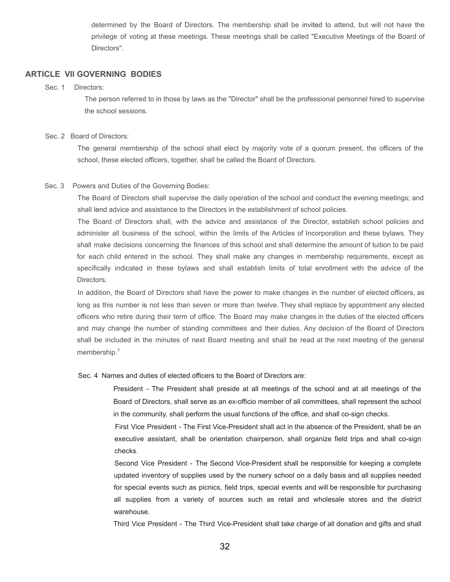determined by the Board of Directors. The membership shall be invited to attend, but will not have the privilege of voting at these meetings. These meetings shall be called "Executive Meetings of the Board of Directors".

### **ARTICLE VII GOVERNING BODIES**

### Sec. 1 Directors:

The person referred to in those by laws as the "Director" shall be the professional personnel hired to supervise the school sessions.

### Sec. 2 Board of Directors:

The general membership of the school shall elect by majority vote of a quorum present, the officers of the school, these elected officers, together, shall be called the Board of Directors.

### Sec. 3 Powers and Duties of the Governing Bodies:

The Board of Directors shall supervise the daily operation of the school and conduct the evening meetings; and shall lend advice and assistance to the Directors in the establishment of school policies.

The Board of Directors shall, with the advice and assistance of the Director, establish school policies and administer all business of the school, within the limits of the Articles of Incorporation and these bylaws. They shall make decisions concerning the finances of this school and shall determine the amount of tuition to be paid for each child entered in the school. They shall make any changes in membership requirements, except as specifically indicated in these bylaws and shall establish limits of total enrollment with the advice of the Directors.

In addition, the Board of Directors shall have the power to make changes in the number of elected officers, as long as this number is not less than seven or more than twelve. They shall replace by appointment any elected officers who retire during their term of office. The Board may make changes in the duties of the elected officers and may change the number of standing committees and their duties. Any decision of the Board of Directors shall be included in the minutes of next Board meeting and shall be read at the next meeting of the general membership.<sup>1</sup>

### Sec. 4 Names and duties of elected officers to the Board of Directors are:

President - The President shall preside at all meetings of the school and at all meetings of the Board of Directors, shall serve as an ex-officio member of all committees, shall represent the school in the community, shall perform the usual functions of the office, and shall co-sign checks.

First Vice President - The First Vice-President shall act in the absence of the President, shall be an executive assistant, shall be orientation chairperson, shall organize field trips and shall co-sign checks.

Second Vice President - The Second Vice-President shall be responsible for keeping a complete updated inventory of supplies used by the nursery school on a daily basis and all supplies needed for special events such as picnics, field trips, special events and will be responsible for purchasing all supplies from a variety of sources such as retail and wholesale stores and the district warehouse.

Third Vice President - The Third Vice-President shall take charge of all donation and gifts and shall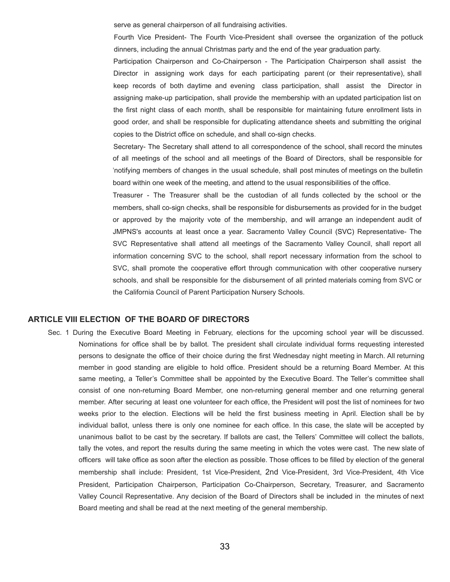serve as general chairperson of all fundraising activities.

Fourth Vice President- The Fourth Vice-President shall oversee the organization of the potluck dinners, including the annual Christmas party and the end of the year graduation party.

Participation Chairperson and Co-Chairperson - The Participation Chairperson shall assist the Director in assigning work days for each participating parent (or their representative), shall keep records of both daytime and evening class participation, shall assist the Director in assigning make-up participation, shall provide the membership with an updated participation list on the first night class of each month, shall be responsible for maintaining future enrollment lists in good order, and shall be responsible for duplicating attendance sheets and submitting the original copies to the District office on schedule, and shall co-sign checks.

Secretary- The Secretary shall attend to all correspondence of the school, shall record the minutes of all meetings of the school and all meetings of the Board of Directors, shall be responsible for 'notifying members of changes in the usual schedule, shall post minutes of meetings on the bulletin board within one week of the meeting, and attend to the usual responsibilities of the office.

Treasurer - The Treasurer shall be the custodian of all funds collected by the school or the members, shall co-sign checks, shall be responsible for disbursements as provided for in the budget or approved by the majority vote of the membership, and will arrange an independent audit of JMPNS's accounts at least once a year. Sacramento Valley Council (SVC) Representative- The SVC Representative shall attend all meetings of the Sacramento Valley Council, shall report all information concerning SVC to the school, shall report necessary information from the school to SVC, shall promote the cooperative effort through communication with other cooperative nursery schools, and shall be responsible for the disbursement of all printed materials coming from SVC or the California Council of Parent Participation Nursery Schools.

### **ARTICLE VIII ELECTION OF THE BOARD OF DIRECTORS**

Sec. 1 During the Executive Board Meeting in February, elections for the upcoming school year will be discussed. Nominations for office shall be by ballot. The president shall circulate individual forms requesting interested persons to designate the office of their choice during the first Wednesday night meeting in March. All returning member in good standing are eligible to hold office. President should be a returning Board Member. At this same meeting, a Teller's Committee shall be appointed by the Executive Board. The Teller's committee shall consist of one non-returning Board Member, one non-returning general member and one returning general member. After securing at least one volunteer for each office, the President will post the list of nominees for two weeks prior to the election. Elections will be held the first business meeting in April. Election shall be by individual ballot, unless there is only one nominee for each office. In this case, the slate will be accepted by unanimous ballot to be cast by the secretary. If ballots are cast, the Tellers' Committee will collect the ballots, tally the votes, and report the results during the same meeting in which the votes were cast. The new slate of officers will take office as soon after the election as possible. Those offices to be filled by election of the general membership shall include: President, 1st Vice-President, 2nd Vice-President, 3rd Vice-President, 4th Vice President, Participation Chairperson, Participation Co-Chairperson, Secretary, Treasurer, and Sacramento Valley Council Representative. Any decision of the Board of Directors shall be included in the minutes of next Board meeting and shall be read at the next meeting of the general membership.